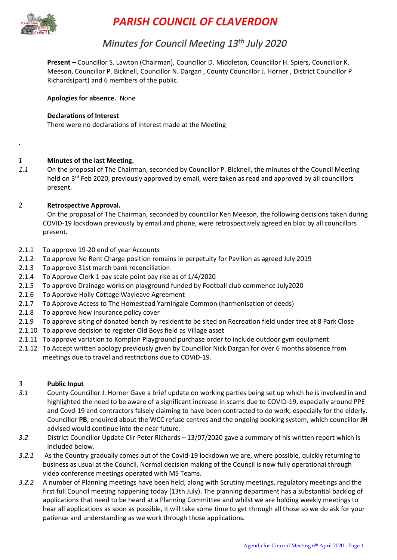

*.*

# **PARISH COUNCIL OF CLAVERDON**

# Minutes for Council Meeting 13th July 2020

**Present –** Councillor S. Lawton (Chairman), Councillor D. Middleton, Councillor H. Spiers, Councillor K. Meeson, Councillor P. Bicknell, Councillor N. Dargan , County Councillor J. Horner , District Councillor P Richards(part) and 6 members of the public.

**Apologies for absence.** None

#### **Declarations of Interest**

There were no declarations of interest made at the Meeting

- *1* **Minutes of the last Meeting.**
- *1.1* On the proposal of The Chairman, seconded by Councillor P. Bicknell, the minutes of the Council Meeting held on 3<sup>rd</sup> Feb 2020, previously approved by email, were taken as read and approved by all councillors present.

#### *2* **Retrospective Approval.**

On the proposal of The Chairman, seconded by councillor Ken Meeson, the following decisions taken during COVID-19 lockdown previously by email and phone, were retrospectively agreed en bloc by all councillors present.

- 2.1.1 To approve 19-20 end of year Accounts
- 2.1.2 To approve No Rent Charge position remains in perpetuity for Pavilion as agreed July 2019
- 2.1.3 To approve 31st march bank reconciliation
- 2.1.4 To Approve Clerk 1 pay scale point pay rise as of 1/4/2020
- 2.1.5 To approve Drainage works on playground funded by Football club commence July2020
- 2.1.6 To Approve Holly Cottage Wayleave Agreement
- 2.1.7 To Approve Access to The Homestead Yarningale Common (harmonisation of deeds)
- 2.1.8 To approve New insurance policy cover
- 2.1.9 To approve siting of donated bench by resident to be sited on Recreation field under tree at 8 Park Close
- 2.1.10 To approve decision to register Old Boys field as Village asset
- 2.1.11 To approve variation to Komplan Playground purchase order to include outdoor gym equipment
- 2.1.12 To Accept written apology previously given by Councillor Nick Dargan for over 6 months absence from meetings due to travel and restrictions due to COViD-19.

#### *3* **Public Input**

- *3.1* County Councillor J. Horner Gave a brief update on working parties being set up which he is involved in and highlighted the need to be aware of a significant increase in scams due to COVID-19, especially around PPE and Covd-19 and contractors falsely claiming to have been contracted to do work, especially for the elderly. Councillor **PB**, enquired about the WCC refuse centres and the ongoing booking system, which councillor **JH**  advised would continue into the near future.
- *3.2* District Councillor Update Cllr Peter Richards 13/07/2020 gave a summary of his written report which is included below.
- *3.2.1* As the Country gradually comes out of the Covid-19 lockdown we are, where possible, quickly returning to business as usual at the Council. Normal decision making of the Council is now fully operational through video conference meetings operated with MS Teams.
- *3.2.2* A number of Planning meetings have been held, along with Scrutiny meetings, regulatory meetings and the first full Council meeting happening today (13th July). The planning department has a substantial backlog of applications that need to be heard at a Planning Committee and whilst we are holding weekly meetings to hear all applications as soon as possible, it will take some time to get through all those so we do ask for your patience and understanding as we work through those applications.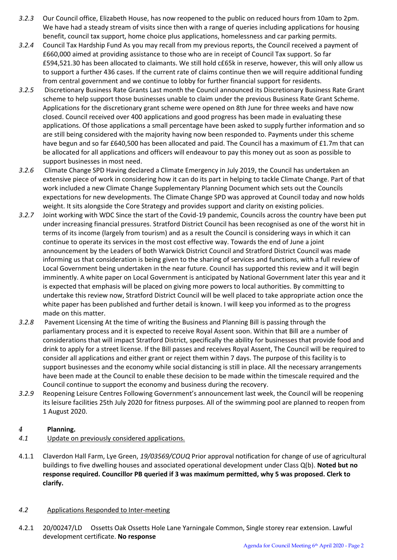- *3.2.3* Our Council office, Elizabeth House, has now reopened to the public on reduced hours from 10am to 2pm. We have had a steady stream of visits since then with a range of queries including applications for housing benefit, council tax support, home choice plus applications, homelessness and car parking permits.
- *3.2.4* Council Tax Hardship Fund As you may recall from my previous reports, the Council received a payment of £660,000 aimed at providing assistance to those who are in receipt of Council Tax support. So far £594,521.30 has been allocated to claimants. We still hold c£65k in reserve, however, this will only allow us to support a further 436 cases. If the current rate of claims continue then we will require additional funding from central government and we continue to lobby for further financial support for residents.
- *3.2.5* Discretionary Business Rate Grants Last month the Council announced its Discretionary Business Rate Grant scheme to help support those businesses unable to claim under the previous Business Rate Grant Scheme. Applications for the discretionary grant scheme were opened on 8th June for three weeks and have now closed. Council received over 400 applications and good progress has been made in evaluating these applications. Of those applications a small percentage have been asked to supply further information and so are still being considered with the majority having now been responded to. Payments under this scheme have begun and so far £640,500 has been allocated and paid. The Council has a maximum of £1.7m that can be allocated for all applications and officers will endeavour to pay this money out as soon as possible to support businesses in most need.
- *3.2.6* Climate Change SPD Having declared a Climate Emergency in July 2019, the Council has undertaken an extensive piece of work in considering how it can do its part in helping to tackle Climate Change. Part of that work included a new Climate Change Supplementary Planning Document which sets out the Councils expectations for new developments. The Climate Change SPD was approved at Council today and now holds weight. It sits alongside the Core Strategy and provides support and clarity on existing policies.
- *3.2.7* Joint working with WDC Since the start of the Covid-19 pandemic, Councils across the country have been put under increasing financial pressures. Stratford District Council has been recognised as one of the worst hit in terms of its income (largely from tourism) and as a result the Council is considering ways in which it can continue to operate its services in the most cost effective way. Towards the end of June a joint announcement by the Leaders of both Warwick District Council and Stratford District Council was made informing us that consideration is being given to the sharing of services and functions, with a full review of Local Government being undertaken in the near future. Council has supported this review and it will begin imminently. A white paper on Local Government is anticipated by National Government later this year and it is expected that emphasis will be placed on giving more powers to local authorities. By committing to undertake this review now, Stratford District Council will be well placed to take appropriate action once the white paper has been published and further detail is known. I will keep you informed as to the progress made on this matter.
- *3.2.8* Pavement Licensing At the time of writing the Business and Planning Bill is passing through the parliamentary process and it is expected to receive Royal Assent soon. Within that Bill are a number of considerations that will impact Stratford District, specifically the ability for businesses that provide food and drink to apply for a street license. If the Bill passes and receives Royal Assent, The Council will be required to consider all applications and either grant or reject them within 7 days. The purpose of this facility is to support businesses and the economy while social distancing is still in place. All the necessary arrangements have been made at the Council to enable these decision to be made within the timescale required and the Council continue to support the economy and business during the recovery.
- *3.2.9* Reopening Leisure Centres Following Government's announcement last week, the Council will be reopening its leisure facilities 25th July 2020 for fitness purposes. All of the swimming pool are planned to reopen from 1 August 2020.

## *4* **Planning.**

- *4.1* Update on previously considered applications.
- 4.1.1 Claverdon Hall Farm, Lye Green, *19/03569/COUQ* Prior approval notification for change of use of agricultural buildings to five dwelling houses and associated operational development under Class Q(b). **Noted but no response required. Councillor PB queried if 3 was maximum permitted, why 5 was proposed. Clerk to clarify.**

#### *4.2* Applications Responded to Inter-meeting

4.2.1 20/00247/LD Ossetts Oak Ossetts Hole Lane Yarningale Common, Single storey rear extension. Lawful development certificate. **No response**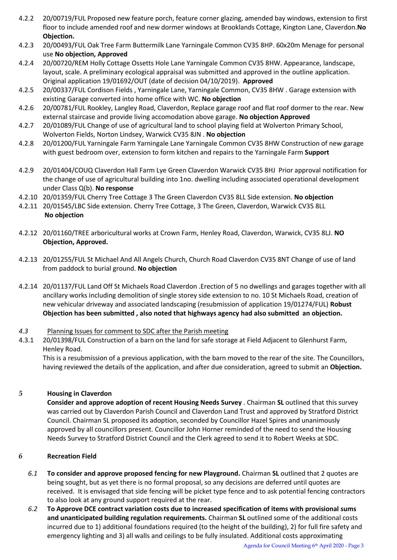- 4.2.2 20/00719/FUL Proposed new feature porch, feature corner glazing, amended bay windows, extension to first floor to include amended roof and new dormer windows at Brooklands Cottage, Kington Lane, Claverdon.**No Objection.**
- 4.2.3 20/00493/FUL Oak Tree Farm Buttermilk Lane Yarningale Common CV35 8HP. 60x20m Menage for personal use **No objection, Approved**
- 4.2.4 20/00720/REM Holly Cottage Ossetts Hole Lane Yarningale Common CV35 8HW. Appearance, landscape, layout, scale. A preliminary ecological appraisal was submitted and approved in the outline application. Original application 19/01692/OUT (date of decision 04/10/2019). **Approved**
- 4.2.5 20/00337/FUL Cordison Fields , Yarningale Lane, Yarningale Common, CV35 8HW . Garage extension with existing Garage converted into home office with WC. **No objection**
- 4.2.6 20/00781/FUL Rookley, Langley Road, Claverdon, Replace garage roof and flat roof dormer to the rear. New external staircase and provide living accomodation above garage. **No objection Approved**
- 4.2.7 20/01089/FUL Change of use of agricultural land to school playing field at Wolverton Primary School, Wolverton Fields, Norton Lindsey, Warwick CV35 8JN . **No objection**
- 4.2.8 20/01200/FUL Yarningale Farm Yarningale Lane Yarningale Common CV35 8HW Construction of new garage with guest bedroom over, extension to form kitchen and repairs to the Yarningale Farm **Support**
- 4.2.9 20/01404/COUQ Claverdon Hall Farm Lye Green Claverdon Warwick CV35 8HJ Prior approval notification for the change of use of agricultural building into 1no. dwelling including associated operational development under Class Q(b). **No response**
- 4.2.10 20/01359/FUL Cherry Tree Cottage 3 The Green Claverdon CV35 8LL Side extension. **No objection**
- 4.2.11 20/01545/LBC Side extension. Cherry Tree Cottage, 3 The Green, Claverdon, Warwick CV35 8LL **No objection**
- 4.2.12 20/01160/TREE arboricultural works at Crown Farm, Henley Road, Claverdon, Warwick, CV35 8LJ. **NO Objection, Approved.**
- 4.2.13 20/01255/FUL St Michael And All Angels Church, Church Road Claverdon CV35 8NT Change of use of land from paddock to burial ground. **No objection**
- 4.2.14 20/01137/FUL Land Off St Michaels Road Claverdon .Erection of 5 no dwellings and garages together with all ancillary works including demolition of single storey side extension to no. 10 St Michaels Road, creation of new vehicular driveway and associated landscaping (resubmission of application 19/01274/FUL) **Robust Objection has been submitted , also noted that highways agency had also submitted an objection.**

#### *4.3* Planning Issues for comment to SDC after the Parish meeting

4.3.1 20/01398/FUL Construction of a barn on the land for safe storage at Field Adjacent to Glenhurst Farm, Henley Road.

This is a resubmission of a previous application, with the barn moved to the rear of the site. The Councillors, having reviewed the details of the application, and after due consideration, agreed to submit an **Objection.**

#### *5* **Housing in Claverdon**

**Consider and approve adoption of recent Housing Needs Survey** . Chairman **SL** outlined that this survey was carried out by Claverdon Parish Council and Claverdon Land Trust and approved by Stratford District Council. Chairman SL proposed its adoption, seconded by Councillor Hazel Spires and unanimously approved by all councillors present. Councillor John Horner reminded of the need to send the Housing Needs Survey to Stratford District Council and the Clerk agreed to send it to Robert Weeks at SDC.

#### *6* **Recreation Field**

- *6.1* **To consider and approve proposed fencing for new Playground.** Chairman **SL** outlined that 2 quotes are being sought, but as yet there is no formal proposal, so any decisions are deferred until quotes are received. It is envisaged that side fencing will be picket type fence and to ask potential fencing contractors to also look at any ground support required at the rear.
- *6.2* **To Approve DCE contract variation costs due to increased specification of items with provisional sums and unanticipated building regulation requirements.** Chairman **SL** outlined some of the additional costs incurred due to 1) additional foundations required (to the height of the building), 2) for full fire safety and emergency lighting and 3) all walls and ceilings to be fully insulated. Additional costs approximating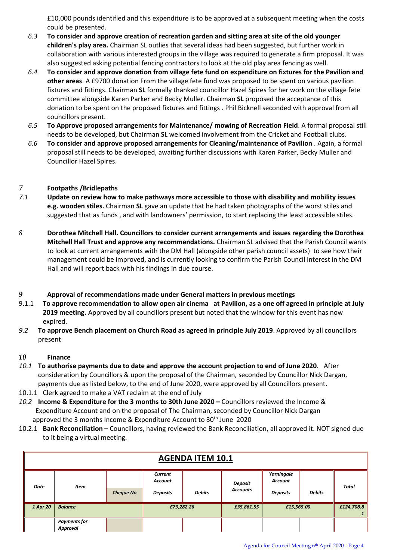£10,000 pounds identified and this expenditure is to be approved at a subsequent meeting when the costs could be presented.

- *6.3* **To consider and approve creation of recreation garden and sitting area at site of the old younger children's play area.** Chairman SL outlies that several ideas had been suggested, but further work in collaboration with various interested groups in the village was required to generate a firm proposal. It was also suggested asking potential fencing contractors to look at the old play area fencing as well.
- *6.4* **To consider and approve donation from village fete fund on expenditure on fixtures for the Pavilion and other areas**. A £9700 donation From the village fete fund was proposed to be spent on various pavilion fixtures and fittings. Chairman **SL** formally thanked councillor Hazel Spires for her work on the village fete committee alongside Karen Parker and Becky Muller. Chairman **SL** proposed the acceptance of this donation to be spent on the proposed fixtures and fittings . Phil Bicknell seconded with approval from all councillors present.
- *6.5* **To Approve proposed arrangements for Maintenance/ mowing of Recreation Field**. A formal proposal still needs to be developed, but Chairman **SL** welcomed involvement from the Cricket and Football clubs.
- *6.6* **To consider and approve proposed arrangements for Cleaning/maintenance of Pavilion** . Again, a formal proposal still needs to be developed, awaiting further discussions with Karen Parker, Becky Muller and Councillor Hazel Spires.

### *7* **Footpaths /Bridlepaths**

- *7.1* **Update on review how to make pathways more accessible to those with disability and mobility issues e.g. wooden stiles.** Chairman **SL** gave an update that he had taken photographs of the worst stiles and suggested that as funds , and with landowners' permission, to start replacing the least accessible stiles.
- *8* **Dorothea Mitchell Hall. Councillors to consider current arrangements and issues regarding the Dorothea Mitchell Hall Trust and approve any recommendations.** Chairman SL advised that the Parish Council wants to look at current arrangements with the DM Hall (alongside other parish council assets) to see how their management could be improved, and is currently looking to confirm the Parish Council interest in the DM Hall and will report back with his findings in due course.

#### *9* **Approval of recommendations made under General matters in previous meetings**

- 9.1.1 **To approve recommendation to allow open air cinema at Pavilion, as a one off agreed in principle at July 2019 meeting.** Approved by all councillors present but noted that the window for this event has now expired.
- *9.2* **To approve Bench placement on Church Road as agreed in principle July 2019**. Approved by all councillors present

#### *10* **Finance**

- *10.1* **To authorise payments due to date and approve the account projection to end of June 2020**. After consideration by Councillors & upon the proposal of the Chairman, seconded by Councillor Nick Dargan, payments due as listed below, to the end of June 2020, were approved by all Councillors present.
- 10.1.1 Clerk agreed to make a VAT reclaim at the end of July
- *10.2* **Income & Expenditure for the 3 months to 30th June 2020 –** Councillors reviewed the Income & Expenditure Account and on the proposal of The Chairman, seconded by Councillor Nick Dargan approved the 3 months Income & Expenditure Account to 30<sup>th</sup> June 2020
- 10.2.1 **Bank Reconciliation –** Councillors, having reviewed the Bank Reconciliation, all approved it. NOT signed due to it being a virtual meeting.

| <b>AGENDA ITEM 10.1</b> |                                 |                  |                           |               |                 |                       |               |            |  |  |
|-------------------------|---------------------------------|------------------|---------------------------|---------------|-----------------|-----------------------|---------------|------------|--|--|
| <b>Date</b>             | <b>Item</b>                     |                  | Current<br><b>Account</b> |               | Deposit         | Yarningale<br>Account | <b>Total</b>  |            |  |  |
|                         |                                 | <b>Cheque No</b> | <b>Deposits</b>           | <b>Debits</b> | <b>Accounts</b> | <b>Deposits</b>       | <b>Debits</b> |            |  |  |
| 1 Apr 20                | <b>Balance</b>                  |                  | £73,282.26                |               | £35,861.55      | £15,565.00            |               | £124,708.8 |  |  |
|                         | <b>Payments for</b><br>Approval |                  |                           |               |                 |                       |               |            |  |  |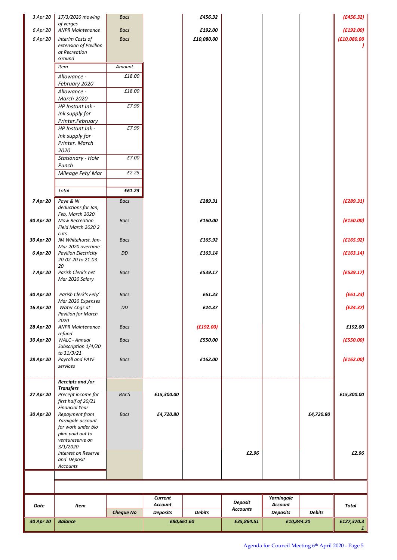| 3 Apr 20  | 17/3/2020 mowing                                  | <b>Bacs</b>      |                 | £456.32    |                            |                 |               | (E456.32)       |
|-----------|---------------------------------------------------|------------------|-----------------|------------|----------------------------|-----------------|---------------|-----------------|
| 6 Apr 20  | of verges<br><b>ANPR Maintenance</b>              | <b>Bacs</b>      |                 | £192.00    |                            |                 |               | (E192.00)       |
| 6 Apr 20  | Interim Costs of                                  | <b>Bacs</b>      |                 | £10,080.00 |                            |                 |               | (£10,080.00     |
|           | extension of Pavilion                             |                  |                 |            |                            |                 |               |                 |
|           | at Recreation<br>Ground                           |                  |                 |            |                            |                 |               |                 |
|           | Item                                              | Amount           |                 |            |                            |                 |               |                 |
|           | Allowance -                                       | £18.00           |                 |            |                            |                 |               |                 |
|           | February 2020                                     |                  |                 |            |                            |                 |               |                 |
|           | Allowance -                                       | £18.00           |                 |            |                            |                 |               |                 |
|           | <b>March 2020</b>                                 | £7.99            |                 |            |                            |                 |               |                 |
|           | HP Instant Ink -<br>Ink supply for                |                  |                 |            |                            |                 |               |                 |
|           | Printer.February                                  |                  |                 |            |                            |                 |               |                 |
|           | HP Instant Ink -                                  | £7.99            |                 |            |                            |                 |               |                 |
|           | Ink supply for                                    |                  |                 |            |                            |                 |               |                 |
|           | Printer. March<br>2020                            |                  |                 |            |                            |                 |               |                 |
|           | Stationary - Hole                                 | £7.00            |                 |            |                            |                 |               |                 |
|           | Punch                                             |                  |                 |            |                            |                 |               |                 |
|           | Mileage Feb/Mar                                   | £2.25            |                 |            |                            |                 |               |                 |
|           |                                                   |                  |                 |            |                            |                 |               |                 |
|           | Total                                             | £61.23           |                 |            |                            |                 |               |                 |
| 7 Apr 20  | Paye & NI                                         | <b>Bacs</b>      |                 | £289.31    |                            |                 |               | (E289.31)       |
|           | deductions for Jan,<br>Feb, March 2020            |                  |                 |            |                            |                 |               |                 |
| 30 Apr 20 | <b>Mow Recreation</b>                             | <b>Bacs</b>      |                 | £150.00    |                            |                 |               | (E150.00)       |
|           | Field March 2020 2                                |                  |                 |            |                            |                 |               |                 |
| 30 Apr 20 | cuts<br>JM Whitehurst. Jan-                       | <b>Bacs</b>      |                 | £165.92    |                            |                 |               | (E165.92)       |
|           | Mar 2020 overtime                                 |                  |                 |            |                            |                 |               |                 |
| 6 Apr 20  | <b>Pavilion Electricity</b><br>20-02-20 to 21-03- | DD               |                 | £163.14    |                            |                 |               | (E163.14)       |
|           | 20                                                |                  |                 |            |                            |                 |               |                 |
| 7 Apr 20  | Parish Clerk's net                                | <b>Bacs</b>      |                 | £539.17    |                            |                 |               | (E539.17)       |
|           | Mar 2020 Salary                                   |                  |                 |            |                            |                 |               |                 |
| 30 Apr 20 | Parish Clerk's Feb/                               | <b>Bacs</b>      |                 | £61.23     |                            |                 |               | (E61.23)        |
|           | Mar 2020 Expenses                                 |                  |                 |            |                            |                 |               |                 |
| 16 Apr 20 | Water Chgs at<br><b>Pavilion for March</b>        | DD               |                 | £24.37     |                            |                 |               | (E24.37)        |
|           | 2020                                              |                  |                 |            |                            |                 |               |                 |
| 28 Apr 20 | <b>ANPR Maintenance</b>                           | <b>Bacs</b>      |                 | (E192.00)  |                            |                 |               | £192.00         |
| 30 Apr 20 | refund<br><b>WALC</b> - Annual                    | <b>Bacs</b>      |                 | £550.00    |                            |                 |               | (E550.00)       |
|           | Subscription 1/4/20                               |                  |                 |            |                            |                 |               |                 |
| 28 Apr 20 | to 31/3/21<br>Payroll and PAYE                    | <b>Bacs</b>      |                 | £162.00    |                            |                 |               | (E162.00)       |
|           | services                                          |                  |                 |            |                            |                 |               |                 |
|           |                                                   |                  |                 |            |                            |                 |               |                 |
|           | Receipts and /or<br><b>Transfers</b>              |                  |                 |            |                            |                 |               |                 |
| 27 Apr 20 | Precept income for                                | <b>BACS</b>      | £15,300.00      |            |                            |                 |               | £15,300.00      |
|           | first half of 20/21                               |                  |                 |            |                            |                 |               |                 |
| 30 Apr 20 | <b>Financial Year</b><br>Repayment from           | <b>Bacs</b>      | £4,720.80       |            |                            |                 | £4,720.80     |                 |
|           | Yarnigale account                                 |                  |                 |            |                            |                 |               |                 |
|           | for work under bio<br>plan paid out to            |                  |                 |            |                            |                 |               |                 |
|           | ventureserve on                                   |                  |                 |            |                            |                 |               |                 |
|           | 3/1/2020                                          |                  |                 |            |                            |                 |               |                 |
|           | Interest on Reserve<br>and Deposit                |                  |                 |            | £2.96                      |                 |               | £2.96           |
|           | Accounts                                          |                  |                 |            |                            |                 |               |                 |
|           |                                                   |                  |                 |            |                            |                 |               |                 |
|           |                                                   |                  |                 |            |                            |                 |               |                 |
|           |                                                   |                  | <b>Current</b>  |            |                            | Yarningale      |               |                 |
| Date      | Item                                              |                  | <b>Account</b>  |            | Deposit<br><b>Accounts</b> | <b>Account</b>  |               | Total           |
|           |                                                   | <b>Cheque No</b> | <b>Deposits</b> | Debits     |                            | <b>Deposits</b> | <b>Debits</b> |                 |
| 30 Apr 20 | <b>Balance</b>                                    |                  | £80,661.60      |            | £35,864.51                 | £10,844.20      |               | £127,370.3<br>1 |
|           |                                                   |                  |                 |            |                            |                 |               |                 |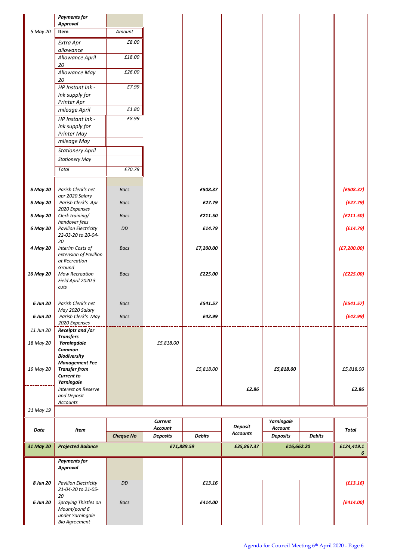|           | <b>Payments for</b><br><b>Approval</b>            |                  |                                   |               |                                   |                                   |               |                 |
|-----------|---------------------------------------------------|------------------|-----------------------------------|---------------|-----------------------------------|-----------------------------------|---------------|-----------------|
| 5 May 20  | Item                                              | Amount           |                                   |               |                                   |                                   |               |                 |
|           | Extra Apr                                         | £8.00            |                                   |               |                                   |                                   |               |                 |
|           | allowance                                         |                  |                                   |               |                                   |                                   |               |                 |
|           | Allowance April<br>20                             | £18.00           |                                   |               |                                   |                                   |               |                 |
|           | Allowance May                                     | £26.00           |                                   |               |                                   |                                   |               |                 |
|           | 20                                                |                  |                                   |               |                                   |                                   |               |                 |
|           | HP Instant Ink -<br>Ink supply for                | £7.99            |                                   |               |                                   |                                   |               |                 |
|           | Printer Apr                                       |                  |                                   |               |                                   |                                   |               |                 |
|           | mileage April                                     | £1.80            |                                   |               |                                   |                                   |               |                 |
|           | HP Instant Ink -                                  | £8.99            |                                   |               |                                   |                                   |               |                 |
|           | Ink supply for<br>Printer May                     |                  |                                   |               |                                   |                                   |               |                 |
|           | mileage May                                       |                  |                                   |               |                                   |                                   |               |                 |
|           | <b>Stationery April</b>                           |                  |                                   |               |                                   |                                   |               |                 |
|           | <b>Stationery May</b>                             |                  |                                   |               |                                   |                                   |               |                 |
|           | Total                                             | £70.78           |                                   |               |                                   |                                   |               |                 |
|           |                                                   |                  |                                   |               |                                   |                                   |               |                 |
| 5 May 20  | Parish Clerk's net<br>apr 2020 Salary             | <b>Bacs</b>      |                                   | £508.37       |                                   |                                   |               | (E508.37)       |
| 5 May 20  | Parish Clerk's Apr<br>2020 Expenses               | <b>Bacs</b>      |                                   | £27.79        |                                   |                                   |               | (E27.79)        |
| 5 May 20  | Clerk training/<br>handover fees                  | <b>Bacs</b>      |                                   | £211.50       |                                   |                                   |               | (E211.50)       |
| 6 May 20  | <b>Pavilion Electricity</b><br>22-03-20 to 20-04- | DD               |                                   | £14.79        |                                   |                                   |               | (E14.79)        |
| 4 May 20  | 20<br>Interim Costs of<br>extension of Pavilion   | <b>Bacs</b>      |                                   | £7,200.00     |                                   |                                   |               | (E7, 200.00)    |
|           | at Recreation<br>Ground                           |                  |                                   |               |                                   |                                   |               |                 |
| 16 May 20 | <b>Mow Recreation</b><br>Field April 2020 3       | <b>Bacs</b>      |                                   | £225.00       |                                   |                                   |               | (E225.00)       |
|           | cuts                                              |                  |                                   |               |                                   |                                   |               |                 |
| 6 Jun 20  | Parish Clerk's net                                | <b>Bacs</b>      |                                   | £541.57       |                                   |                                   |               | (E541.57)       |
|           | May 2020 Salary                                   |                  |                                   |               |                                   |                                   |               |                 |
| 6 Jun 20  | Parish Clerk's May<br>2020 Expenses               | <b>Bacs</b>      |                                   | £42.99        |                                   |                                   |               | (E42.99)        |
| 11 Jun 20 | Receipts and /or                                  |                  |                                   |               |                                   |                                   |               |                 |
| 18 May 20 | <b>Transfers</b><br>Yarningdale                   |                  | £5,818.00                         |               |                                   |                                   |               |                 |
|           | Common                                            |                  |                                   |               |                                   |                                   |               |                 |
|           | <b>Biodiversity</b><br><b>Management Fee</b>      |                  |                                   |               |                                   |                                   |               |                 |
| 19 May 20 | <b>Transfer from</b>                              |                  |                                   | £5,818.00     |                                   | £5,818.00                         |               | £5,818.00       |
|           | <b>Current to</b><br>Yarningale                   |                  |                                   |               |                                   |                                   |               |                 |
|           | Interest on Reserve                               |                  |                                   |               | £2.86                             |                                   |               | £2.86           |
|           | and Deposit<br>Accounts                           |                  |                                   |               |                                   |                                   |               |                 |
| 31 May 19 |                                                   |                  |                                   |               |                                   |                                   |               |                 |
|           |                                                   |                  | Current                           |               |                                   | Yarningale                        |               |                 |
| Date      | Item                                              | <b>Cheque No</b> | <b>Account</b><br><b>Deposits</b> | <b>Debits</b> | <b>Deposit</b><br><b>Accounts</b> | <b>Account</b><br><b>Deposits</b> | <b>Debits</b> | <b>Total</b>    |
|           |                                                   |                  |                                   |               |                                   |                                   |               |                 |
| 31 May 20 | <b>Projected Balance</b>                          |                  | £71,889.59                        |               | £35,867.37                        | £16,662.20                        |               | £124,419.1<br>6 |
|           | <b>Payments for</b>                               |                  |                                   |               |                                   |                                   |               |                 |
|           | <b>Approval</b>                                   |                  |                                   |               |                                   |                                   |               |                 |
| 8 Jun 20  | <b>Pavilion Electricity</b>                       | DD               |                                   | £13.16        |                                   |                                   |               | (E13.16)        |
|           | 21-04-20 to 21-05-<br>20                          |                  |                                   |               |                                   |                                   |               |                 |
| 6 Jun 20  | Spraying Thistles on                              | <b>Bacs</b>      |                                   | £414.00       |                                   |                                   |               | (E414.00)       |
|           | Mount/pond 6<br>under Yarningale                  |                  |                                   |               |                                   |                                   |               |                 |
|           | <b>Bio Agreement</b>                              |                  |                                   |               |                                   |                                   |               |                 |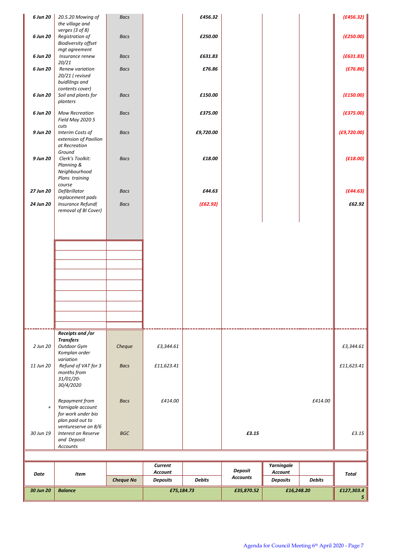| 6 Jun 20       | 20.5.20 Mowing of<br>the village and                                          | <b>Bacs</b>      |                    | £456.32       |                 |                              |               | (E456.32)      |
|----------------|-------------------------------------------------------------------------------|------------------|--------------------|---------------|-----------------|------------------------------|---------------|----------------|
| 6 Jun 20       | verges (3 of 8)<br>Registration of<br><b>Biodiversity offset</b>              | <b>Bacs</b>      |                    | £250.00       |                 |                              |               | (E250.00)      |
| 6 Jun 20       | mgt agreement<br>Insurance renew                                              | <b>Bacs</b>      |                    | £631.83       |                 |                              |               | (E631.83)      |
| 6 Jun 20       | 20/21<br>Renew variation<br>20/21 (revised<br>buidlilngs and                  | <b>Bacs</b>      |                    | £76.86        |                 |                              |               | (E76.86)       |
| 6 Jun 20       | contents cover)<br>Soil and plants for<br>planters                            | <b>Bacs</b>      |                    | £150.00       |                 |                              |               | (E150.00)      |
| 6 Jun 20       | <b>Mow Recreation</b><br>Field May 2020 5                                     | <b>Bacs</b>      |                    | £375.00       |                 |                              |               | (E375.00)      |
| 9 Jun 20       | cuts<br>Interim Costs of<br>extension of Pavilion<br>at Recreation<br>Ground  | <b>Bacs</b>      |                    | £9,720.00     |                 |                              |               | (E9, 720.00)   |
| 9 Jun 20       | Clerk's Toolkit:<br>Planning &<br>Neighbourhood<br>Plans training<br>course   | <b>Bacs</b>      |                    | £18.00        |                 |                              |               | (E18.00)       |
| 27 Jun 20      | Defibrillator                                                                 | <b>Bacs</b>      |                    | £44.63        |                 |                              |               | (E44.63)       |
| 24 Jun 20      | replacement pads<br><b>Insurance Refund(</b><br>removal of BI Cover)          | <b>Bacs</b>      |                    | (E62.92)      |                 |                              |               | £62.92         |
|                |                                                                               |                  |                    |               |                 |                              |               |                |
|                |                                                                               |                  |                    |               |                 |                              |               |                |
|                |                                                                               |                  |                    |               |                 |                              |               |                |
|                |                                                                               |                  |                    |               |                 |                              |               |                |
|                |                                                                               |                  |                    |               |                 |                              |               |                |
|                |                                                                               |                  |                    |               |                 |                              |               |                |
|                |                                                                               |                  |                    |               |                 |                              |               |                |
|                |                                                                               |                  |                    |               |                 |                              |               |                |
|                |                                                                               |                  |                    |               |                 |                              |               |                |
|                | Receipts and /or                                                              |                  |                    |               |                 |                              |               |                |
| 2 Jun 20       | <b>Transfers</b><br>Outdoor Gym<br>Komplan order                              | Cheque           | £3,344.61          |               |                 |                              |               | £3,344.61      |
| 11 Jun 20      | variation<br>Refund of VAT for 3<br>months from<br>31/01/20-<br>30/4/2020     | <b>Bacs</b>      | £11,623.41         |               |                 |                              |               | £11,623.41     |
| $\overline{+}$ | Repayment from<br>Yarnigale account<br>for work under bio<br>plan paid out to | <b>Bacs</b>      | £414.00            |               |                 |                              | £414.00       |                |
| 30 Jun 19      | ventureserve on 8/6<br>Interest on Reserve<br>and Deposit<br>Accounts         | <b>BGC</b>       |                    |               | £3.15           |                              |               | £3.15          |
|                |                                                                               |                  |                    |               |                 |                              |               |                |
|                |                                                                               |                  | Current<br>Account |               | Deposit         | Yarningale<br><b>Account</b> |               |                |
| Date           | Item                                                                          | <b>Cheque No</b> | <b>Deposits</b>    | <b>Debits</b> | <b>Accounts</b> | <b>Deposits</b>              | <b>Debits</b> | Total          |
| 30 Jun 20      | <b>Balance</b>                                                                |                  | £75,184.73         |               | £35,870.52      | £16,248.20                   |               | £127,303.4     |
|                |                                                                               |                  |                    |               |                 |                              |               | 5 <sup>1</sup> |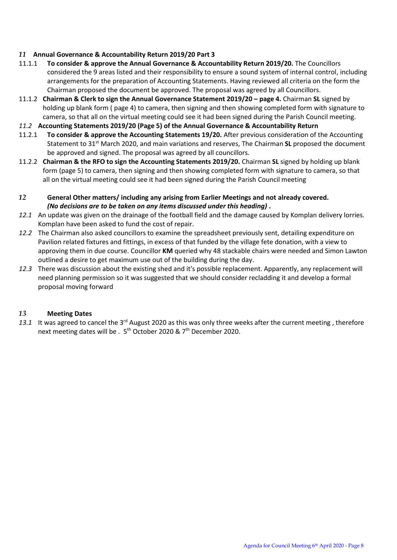#### *11* **Annual Governance & Accountability Return 2019/20 Part 3**

- 11.1.1 **To consider & approve the Annual Governance & Accountability Return 2019/20.** The Councillors considered the 9 areas listed and their responsibility to ensure a sound system of internal control, including arrangements for the preparation of Accounting Statements. Having reviewed all criteria on the form the Chairman proposed the document be approved. The proposal was agreed by all Councillors.
- 11.1.2 **Chairman & Clerk to sign the Annual Governance Statement 2019/20 – page 4.** Chairman **SL** signed by holding up blank form ( page 4) to camera, then signing and then showing completed form with signature to camera, so that all on the virtual meeting could see it had been signed during the Parish Council meeting.
- *11.2* **Accounting Statements 2019/20 (Page 5) of the Annual Governance & Accountability Return**
- 11.2.1 **To consider & approve the Accounting Statements 19/20.** After previous consideration of the Accounting Statement to 31st March 2020, and main variations and reserves, The Chairman **SL** proposed the document be approved and signed. The proposal was agreed by all councillors.
- 11.2.2 **Chairman & the RFO to sign the Accounting Statements 2019/20.** Chairman **SL** signed by holding up blank form (page 5) to camera, then signing and then showing completed form with signature to camera, so that all on the virtual meeting could see it had been signed during the Parish Council meeting
- *12* **General Other matters/ including any arising from Earlier Meetings and not already covered.** *(No decisions are to be taken on any items discussed under this heading)* **.**
- *12.1* An update was given on the drainage of the football field and the damage caused by Komplan delivery lorries. Komplan have been asked to fund the cost of repair.
- *12.2* The Chairman also asked councillors to examine the spreadsheet previously sent, detailing expenditure on Pavilion related fixtures and fittings, in excess of that funded by the village fete donation, with a view to approving them in due course. Councillor **KM** queried why 48 stackable chairs were needed and Simon Lawton outlined a desire to get maximum use out of the building during the day.
- *12.3* There was discussion about the existing shed and it's possible replacement. Apparently, any replacement will need planning permission so it was suggested that we should consider recladding it and develop a formal proposal moving forward

#### *13* **Meeting Dates**

13.1 It was agreed to cancel the 3<sup>rd</sup> August 2020 as this was only three weeks after the current meeting, therefore next meeting dates will be . 5<sup>th</sup> October 2020 & 7<sup>th</sup> December 2020.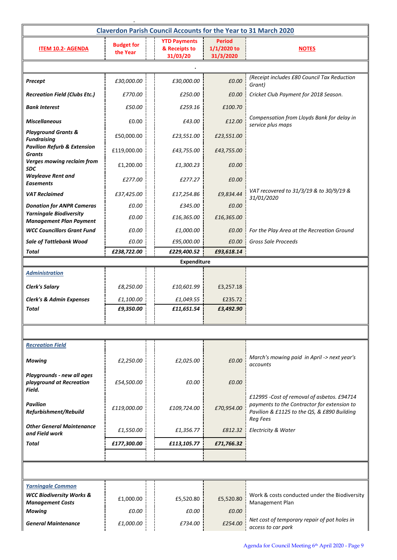| <b>Claverdon Parish Council Accounts for the Year to 31 March 2020</b> |                                          |                                                  |                                           |                                                                                                                                                             |  |  |  |  |  |  |  |
|------------------------------------------------------------------------|------------------------------------------|--------------------------------------------------|-------------------------------------------|-------------------------------------------------------------------------------------------------------------------------------------------------------------|--|--|--|--|--|--|--|
| <b>ITEM 10.2- AGENDA</b>                                               | <b>Budget for</b><br>the Year            | <b>YTD Payments</b><br>& Receipts to<br>31/03/20 | <b>Period</b><br>1/1/2020 to<br>31/3/2020 | <b>NOTES</b>                                                                                                                                                |  |  |  |  |  |  |  |
|                                                                        |                                          |                                                  |                                           |                                                                                                                                                             |  |  |  |  |  |  |  |
| Precept                                                                | £30,000.00                               | £30,000.00                                       | £0.00                                     | (Receipt includes £80 Council Tax Reduction<br>Grant)                                                                                                       |  |  |  |  |  |  |  |
| <b>Recreation Field (Clubs Etc.)</b>                                   | £770.00                                  | £250.00                                          | £0.00                                     | Cricket Club Payment for 2018 Season.                                                                                                                       |  |  |  |  |  |  |  |
| <b>Bank Interest</b>                                                   | £50.00                                   | £259.16                                          | £100.70                                   |                                                                                                                                                             |  |  |  |  |  |  |  |
| <b>Miscellaneous</b>                                                   | £0.00                                    | £43.00                                           | £12.00                                    | Compensation from Lloyds Bank for delay in<br>service plus maps                                                                                             |  |  |  |  |  |  |  |
| <b>Playground Grants &amp;</b><br><b>Fundraising</b>                   | £50,000.00                               | £23,551.00                                       | £23,551.00                                |                                                                                                                                                             |  |  |  |  |  |  |  |
| <b>Pavilion Refurb &amp; Extension</b><br><b>Grants</b>                | £119,000.00                              | £43,755.00                                       | £43,755.00                                |                                                                                                                                                             |  |  |  |  |  |  |  |
| <b>Verges mowing reclaim from</b><br>SDC                               | £1,200.00                                | £1,300.23                                        | £0.00                                     |                                                                                                                                                             |  |  |  |  |  |  |  |
| <b>Wayleave Rent and</b><br><b>Easements</b>                           | £277.00                                  | £277.27                                          | £0.00                                     |                                                                                                                                                             |  |  |  |  |  |  |  |
| <b>VAT Reclaimed</b>                                                   | £37,425.00                               | £17,254.86                                       | £9,834.44                                 | VAT recovered to 31/3/19 & to 30/9/19 &<br>31/01/2020                                                                                                       |  |  |  |  |  |  |  |
| <b>Donation for ANPR Cameras</b>                                       | £0.00                                    | £345.00                                          | £0.00                                     |                                                                                                                                                             |  |  |  |  |  |  |  |
| <b>Yarningale Biodiversity</b><br><b>Management Plan Payment</b>       | £0.00                                    | £16,365.00                                       | £16,365.00                                |                                                                                                                                                             |  |  |  |  |  |  |  |
| <b>WCC Councillors Grant Fund</b>                                      | £0.00                                    | £1,000.00                                        | £0.00                                     | For the Play Area at the Recreation Ground                                                                                                                  |  |  |  |  |  |  |  |
| <b>Sale of Tattlebank Wood</b>                                         | £0.00                                    | £95,000.00                                       | £0.00                                     | <b>Gross Sale Proceeds</b>                                                                                                                                  |  |  |  |  |  |  |  |
| Total                                                                  | £238,722.00<br>£229,400.52<br>£93,618.14 |                                                  |                                           |                                                                                                                                                             |  |  |  |  |  |  |  |
| <b>Administration</b>                                                  |                                          | <b>Expenditure</b>                               |                                           |                                                                                                                                                             |  |  |  |  |  |  |  |
|                                                                        |                                          |                                                  |                                           |                                                                                                                                                             |  |  |  |  |  |  |  |
| <b>Clerk's Salary</b>                                                  | £8,250.00                                | £10,601.99                                       | £3,257.18                                 |                                                                                                                                                             |  |  |  |  |  |  |  |
| <b>Clerk's &amp; Admin Expenses</b><br>Total                           | £1,100.00<br>£9,350.00                   | £1,049.55<br>£11,651.54                          | £235.72<br>£3,492.90                      |                                                                                                                                                             |  |  |  |  |  |  |  |
|                                                                        |                                          |                                                  |                                           |                                                                                                                                                             |  |  |  |  |  |  |  |
|                                                                        |                                          |                                                  |                                           |                                                                                                                                                             |  |  |  |  |  |  |  |
| <b>Recreation Field</b>                                                |                                          |                                                  |                                           |                                                                                                                                                             |  |  |  |  |  |  |  |
| <b>Mowing</b>                                                          | £2,250.00                                | £2,025.00                                        | £0.00                                     | March's mowing paid in April -> next year's<br>accounts                                                                                                     |  |  |  |  |  |  |  |
| Playgrounds - new all ages<br>playground at Recreation<br>Field.       | £54,500.00                               | £0.00                                            | £0.00                                     |                                                                                                                                                             |  |  |  |  |  |  |  |
| <b>Pavilion</b><br>Refurbishment/Rebuild                               | £119,000.00                              | £109,724.00                                      | £70,954.00                                | £12995 -Cost of removal of asbetos. £94714<br>payments to the Contractor for extension to<br>Pavilion & £1125 to the QS, & £890 Building<br><b>Reg Fees</b> |  |  |  |  |  |  |  |
| <b>Other General Maintenance</b><br>and Field work                     | £1,550.00                                | £1,356.77                                        | £812.32                                   | Electricity & Water                                                                                                                                         |  |  |  |  |  |  |  |
| Total                                                                  | £177,300.00                              | £113,105.77                                      | £71,766.32                                |                                                                                                                                                             |  |  |  |  |  |  |  |
|                                                                        |                                          |                                                  |                                           |                                                                                                                                                             |  |  |  |  |  |  |  |
|                                                                        |                                          |                                                  |                                           |                                                                                                                                                             |  |  |  |  |  |  |  |
| <b>Yarningale Common</b>                                               |                                          |                                                  |                                           |                                                                                                                                                             |  |  |  |  |  |  |  |
| <b>WCC Biodiversity Works &amp;</b><br><b>Management Costs</b>         | £1,000.00                                | £5,520.80                                        | £5,520.80                                 | Work & costs conducted under the Biodiversity<br>Management Plan                                                                                            |  |  |  |  |  |  |  |
| Mowing                                                                 | £0.00                                    | £0.00                                            | £0.00                                     |                                                                                                                                                             |  |  |  |  |  |  |  |
| <b>General Maintenance</b>                                             | £1,000.00                                | £734.00                                          | £254.00                                   | Net cost of temporary repair of pot holes in<br>access to car park                                                                                          |  |  |  |  |  |  |  |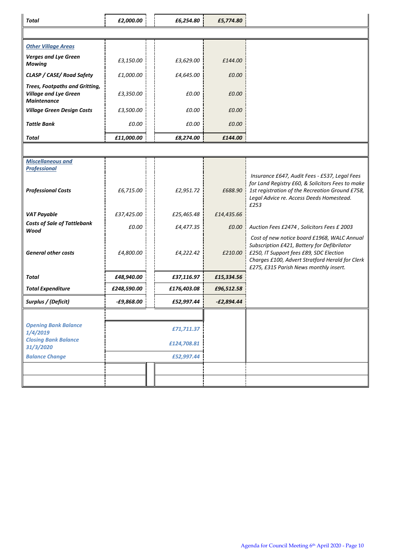| Total                                                                                       | £2,000.00    |  | £6,254.80   | £5,774.80    |                                                                                                                                                                                                                                    |  |  |  |  |  |
|---------------------------------------------------------------------------------------------|--------------|--|-------------|--------------|------------------------------------------------------------------------------------------------------------------------------------------------------------------------------------------------------------------------------------|--|--|--|--|--|
|                                                                                             |              |  |             |              |                                                                                                                                                                                                                                    |  |  |  |  |  |
| <b>Other Village Areas</b>                                                                  |              |  |             |              |                                                                                                                                                                                                                                    |  |  |  |  |  |
| <b>Verges and Lye Green</b><br><b>Mowing</b>                                                | £3,150.00    |  | £3,629.00   | £144.00      |                                                                                                                                                                                                                                    |  |  |  |  |  |
| CLASP / CASE/ Road Safety                                                                   | £1,000.00    |  | £4,645.00   | £0.00        |                                                                                                                                                                                                                                    |  |  |  |  |  |
| <b>Trees, Footpaths and Gritting,</b><br><b>Village and Lye Green</b><br><b>Maintenance</b> | £3,350.00    |  | £0.00       | £0.00        |                                                                                                                                                                                                                                    |  |  |  |  |  |
| <b>Village Green Design Costs</b>                                                           | £3,500.00    |  | £0.00       | £0.00        |                                                                                                                                                                                                                                    |  |  |  |  |  |
| <b>Tattle Bank</b>                                                                          | £0.00        |  | £0.00       | £0.00        |                                                                                                                                                                                                                                    |  |  |  |  |  |
| Total                                                                                       | £11,000.00   |  | £8,274.00   | £144.00      |                                                                                                                                                                                                                                    |  |  |  |  |  |
|                                                                                             |              |  |             |              |                                                                                                                                                                                                                                    |  |  |  |  |  |
| <b>Miscellaneous and</b><br><b>Professional</b>                                             |              |  |             |              |                                                                                                                                                                                                                                    |  |  |  |  |  |
| <b>Professional Costs</b>                                                                   | £6,715.00    |  | £2,951.72   | £688.90      | Insurance £647, Audit Fees - £537, Legal Fees<br>for Land Registry £60, & Solicitors Fees to make<br>1st registration of the Recreation Ground £758,<br>Legal Advice re. Access Deeds Homestead.<br>£253                           |  |  |  |  |  |
| <b>VAT Payable</b>                                                                          | £37,425.00   |  | £25,465.48  | £14,435.66   |                                                                                                                                                                                                                                    |  |  |  |  |  |
| <b>Costs of Sale of Tattlebank</b><br>Wood                                                  | £0.00        |  | £4,477.35   | £0.00        | Auction Fees £2474, Solicitors Fees £ 2003                                                                                                                                                                                         |  |  |  |  |  |
| <b>General other costs</b>                                                                  | £4,800.00    |  | £4,222.42   | £210.00      | Cost of new notice board £1968, WALC Annual<br>Subscription £421, Battery for Defibrilator<br>£250, IT Support fees £89, SDC Election<br>Charges £100, Advert Stratford Herald for Clerk<br>£275, £315 Parish News monthly insert. |  |  |  |  |  |
| Total                                                                                       | £48,940.00   |  | £37,116.97  | £15,334.56   |                                                                                                                                                                                                                                    |  |  |  |  |  |
| <b>Total Expenditure</b>                                                                    | £248,590.00  |  | £176,403.08 | £96,512.58   |                                                                                                                                                                                                                                    |  |  |  |  |  |
| Surplus / (Deficit)                                                                         | $-£9,868.00$ |  | £52,997.44  | $-E2,894.44$ |                                                                                                                                                                                                                                    |  |  |  |  |  |
|                                                                                             |              |  |             |              |                                                                                                                                                                                                                                    |  |  |  |  |  |
| <b>Opening Bank Balance</b><br>1/4/2019                                                     |              |  | £71,711.37  |              |                                                                                                                                                                                                                                    |  |  |  |  |  |
| <b>Closing Bank Balance</b><br>31/3/2020                                                    |              |  | £124,708.81 |              |                                                                                                                                                                                                                                    |  |  |  |  |  |
| <b>Balance Change</b>                                                                       |              |  | £52,997.44  |              |                                                                                                                                                                                                                                    |  |  |  |  |  |
|                                                                                             |              |  |             |              |                                                                                                                                                                                                                                    |  |  |  |  |  |
|                                                                                             |              |  |             |              |                                                                                                                                                                                                                                    |  |  |  |  |  |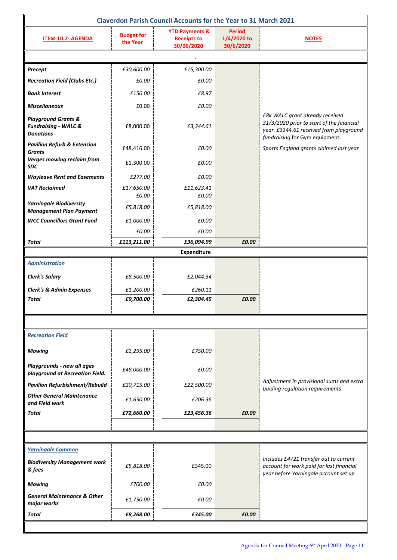| <b>Claverdon Parish Council Accounts for the Year to 31 March 2021</b>                |                               |  |                                                               |                                           |                                                                                                                                                           |  |  |  |  |  |
|---------------------------------------------------------------------------------------|-------------------------------|--|---------------------------------------------------------------|-------------------------------------------|-----------------------------------------------------------------------------------------------------------------------------------------------------------|--|--|--|--|--|
| <b>ITEM 10.2- AGENDA</b>                                                              | <b>Budget for</b><br>the Year |  | <b>YTD Payments &amp;</b><br><b>Receipts to</b><br>30/06/2020 | <b>Period</b><br>1/4/2020 to<br>30/6/2020 | <b>NOTES</b>                                                                                                                                              |  |  |  |  |  |
|                                                                                       |                               |  |                                                               |                                           |                                                                                                                                                           |  |  |  |  |  |
| Precept                                                                               | £30,600.00                    |  | £15,300.00                                                    |                                           |                                                                                                                                                           |  |  |  |  |  |
| <b>Recreation Field (Clubs Etc.)</b>                                                  | £0.00                         |  | £0.00                                                         |                                           |                                                                                                                                                           |  |  |  |  |  |
| <b>Bank Interest</b>                                                                  | £150.00                       |  | £8.97                                                         |                                           |                                                                                                                                                           |  |  |  |  |  |
| <b>Miscellaneous</b>                                                                  | £0.00                         |  | £0.00                                                         |                                           |                                                                                                                                                           |  |  |  |  |  |
| <b>Playground Grants &amp;</b><br><b>Fundraising - WALC &amp;</b><br><b>Donations</b> | £8,000.00                     |  | £3,344.61                                                     |                                           | £8k WALC grant already received<br>31/3/2020 prior to start of the financial<br>year. £3344.61 received from playground<br>fundraising for Gym equipment. |  |  |  |  |  |
| <b>Pavilion Refurb &amp; Extension</b><br>Grants                                      | £48,416.00                    |  | £0.00                                                         |                                           | Sports England grants claimed last year                                                                                                                   |  |  |  |  |  |
| Verges mowing reclaim from<br><b>SDC</b>                                              | £1,300.00                     |  | £0.00                                                         |                                           |                                                                                                                                                           |  |  |  |  |  |
| <b>Wayleave Rent and Easements</b>                                                    | £277.00                       |  | £0.00                                                         |                                           |                                                                                                                                                           |  |  |  |  |  |
| <b>VAT Reclaimed</b>                                                                  | £17,650.00<br>£0.00           |  | £11,623.41<br>£0.00                                           |                                           |                                                                                                                                                           |  |  |  |  |  |
| <b>Yarningale Biodiversity</b><br><b>Management Plan Payment</b>                      | £5,818.00                     |  | £5,818.00                                                     |                                           |                                                                                                                                                           |  |  |  |  |  |
| <b>WCC Councillors Grant Fund</b>                                                     | £1,000.00                     |  | £0.00                                                         |                                           |                                                                                                                                                           |  |  |  |  |  |
|                                                                                       | £0.00                         |  | £0.00                                                         |                                           |                                                                                                                                                           |  |  |  |  |  |
| Total                                                                                 | £113,211.00                   |  | £36,094.99                                                    | £0.00                                     |                                                                                                                                                           |  |  |  |  |  |
| <b>Administration</b>                                                                 |                               |  | Expenditure                                                   |                                           |                                                                                                                                                           |  |  |  |  |  |
|                                                                                       |                               |  |                                                               |                                           |                                                                                                                                                           |  |  |  |  |  |
| <b>Clerk's Salary</b>                                                                 | £8,500.00                     |  | £2,044.34                                                     |                                           |                                                                                                                                                           |  |  |  |  |  |
| <b>Clerk's &amp; Admin Expenses</b><br>Total                                          | £1,200.00<br>£9,700.00        |  | £260.11<br>£2,304.45                                          | £0.00                                     |                                                                                                                                                           |  |  |  |  |  |
|                                                                                       |                               |  |                                                               |                                           |                                                                                                                                                           |  |  |  |  |  |
|                                                                                       |                               |  |                                                               |                                           |                                                                                                                                                           |  |  |  |  |  |
| <b>Recreation Field</b>                                                               |                               |  |                                                               |                                           |                                                                                                                                                           |  |  |  |  |  |
| <b>Mowing</b>                                                                         | £2,295.00                     |  | £750.00                                                       |                                           |                                                                                                                                                           |  |  |  |  |  |
| Playgrounds - new all ages<br>playground at Recreation Field.                         | £48,000.00                    |  | £0.00                                                         |                                           |                                                                                                                                                           |  |  |  |  |  |
| <b>Pavilion Refurbishment/Rebuild</b>                                                 | £20,715.00                    |  | £22,500.00                                                    |                                           | Adjustment in provisional sums and extra<br>buiding regulation requirements                                                                               |  |  |  |  |  |
| <b>Other General Maintenance</b><br>and Field work                                    | £1,650.00                     |  | £206.36                                                       |                                           |                                                                                                                                                           |  |  |  |  |  |
| Total                                                                                 | £72,660.00                    |  | £23,456.36                                                    | £0.00                                     |                                                                                                                                                           |  |  |  |  |  |
|                                                                                       |                               |  |                                                               |                                           |                                                                                                                                                           |  |  |  |  |  |
|                                                                                       |                               |  |                                                               |                                           |                                                                                                                                                           |  |  |  |  |  |
| <b>Yarningale Common</b>                                                              |                               |  |                                                               |                                           |                                                                                                                                                           |  |  |  |  |  |
| <b>Biodiversity Management work</b><br>& fees                                         | £5,818.00                     |  | £345.00                                                       |                                           | Includes £4721 transfer out to current<br>account for work paid for last financial<br>year before Yarningale account set up                               |  |  |  |  |  |
| <b>Mowing</b>                                                                         | £700.00                       |  | £0.00                                                         |                                           |                                                                                                                                                           |  |  |  |  |  |
| <b>General Maintenance &amp; Other</b><br>major works                                 | £1,750.00                     |  | £0.00                                                         |                                           |                                                                                                                                                           |  |  |  |  |  |
| Total                                                                                 | £8,268.00                     |  | £345.00                                                       | £0.00                                     |                                                                                                                                                           |  |  |  |  |  |
|                                                                                       |                               |  |                                                               |                                           |                                                                                                                                                           |  |  |  |  |  |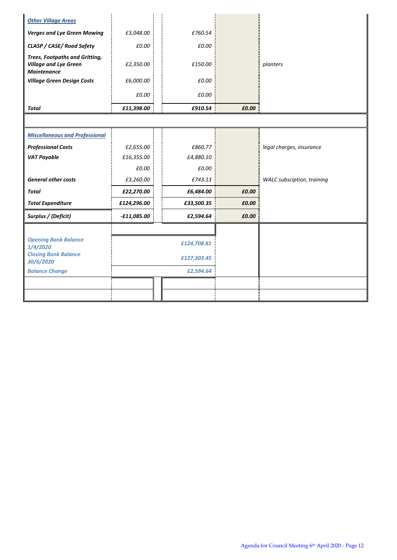| <b>Other Village Areas</b>                                                                  |               |             |             |       |                            |
|---------------------------------------------------------------------------------------------|---------------|-------------|-------------|-------|----------------------------|
| <b>Verges and Lye Green Mowing</b>                                                          | £3,048.00     |             | £760.54     |       |                            |
| CLASP / CASE/ Road Safety                                                                   | £0.00         |             | £0.00       |       |                            |
| <b>Trees, Footpaths and Gritting,</b><br><b>Village and Lye Green</b><br><b>Maintenance</b> | £2,350.00     |             | £150.00     |       | planters                   |
| <b>Village Green Design Costs</b>                                                           | £6,000.00     |             | £0.00       |       |                            |
|                                                                                             | £0.00         |             | £0.00       |       |                            |
| <b>Total</b>                                                                                | £11,398.00    |             | £910.54     | £0.00 |                            |
|                                                                                             |               |             |             |       |                            |
| <b>Miscellaneous and Professional</b>                                                       |               |             |             |       |                            |
| <b>Professional Costs</b>                                                                   | £2,655.00     |             | £860.77     |       | legal charges, insurance   |
| <b>VAT Payable</b>                                                                          | £16,355.00    |             | £4,880.10   |       |                            |
|                                                                                             | £0.00         |             | £0.00       |       |                            |
| <b>General other costs</b>                                                                  | £3,260.00     |             | £743.13     |       | WALC subsciption, training |
| <b>Total</b>                                                                                | £22,270.00    |             | £6,484.00   | £0.00 |                            |
| <b>Total Expenditure</b>                                                                    | £124,296.00   |             | £33,500.35  | £0.00 |                            |
| Surplus / (Deficit)                                                                         | $-£11,085.00$ |             | £2,594.64   | £0.00 |                            |
|                                                                                             |               |             |             |       |                            |
| <b>Opening Bank Balance</b><br>1/4/2020                                                     |               | £124,708.81 |             |       |                            |
| <b>Closing Bank Balance</b><br>30/6/2020                                                    |               |             | £127,303.45 |       |                            |
| <b>Balance Change</b>                                                                       | £2,594.64     |             |             |       |                            |
|                                                                                             |               |             |             |       |                            |
|                                                                                             |               |             |             |       |                            |